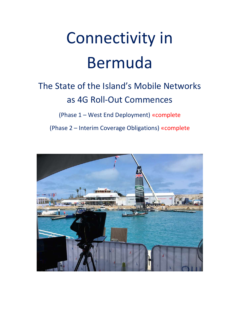# Connectivity in Bermuda

#### The State of the Island's Mobile Networks as 4G Roll-Out Commences

(Phase 1 – West End Deployment) «complete

(Phase 2 – Interim Coverage Obligations) «complete

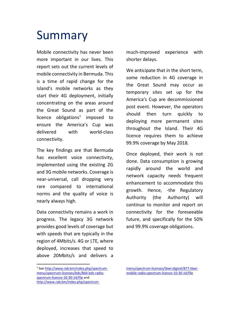## Summary

Mobile connectivity has never been more important in our lives. This report sets out the current levels of mobile connectivity in Bermuda. This is a time of rapid change for the Island's mobile networks as they start their 4G deployment, initially concentrating on the areas around the Great Sound as part of the licence obligations<sup>1</sup> imposed to ensure the America's Cup was delivered with world-class connectivity.

The key findings are that Bermuda has excellent voice connectivity, implemented using the existing 2G and 3G mobile networks. Coverage is near-universal, call dropping very rare compared to international norms and the quality of voice is nearly always high.

Data connectivity remains a work in progress. The legacy 3G network provides good levels of coverage but with speeds that are typically in the region of 4Mbits/s. 4G or LTE, where deployed, increases that speed to above 20Mbits/s and delivers a

<sup>1</sup> See http://www.rab.bm/index.php/spectrummenu/spectrum-licenses/bdc/864-bdc-radiospectrum-licence-10-30-14/file and http://www.rab.bm/index.php/spectrum-

1

much-improved experience with shorter delays.

We anticipate that in the short term, some reduction in 4G coverage in the Great Sound may occur as temporary sites set up for the America's Cup are decommissioned post event. However, the operators should then turn quickly to deploying more permanent sites throughout the Island. Their 4G licence requires them to achieve 99.9% coverage by May 2018.

Once deployed, their work is not done. Data consumption is growing rapidly around the world and network capacity needs frequent enhancement to accommodate this growth. Hence, -the Regulatory Authority (the Authority) will continue to monitor and report on connectivity for the foreseeable future, and specifically for the 50% and 99.9% coverage obligations.

menu/spectrum-licenses/tbwi-digicel/877-tbwimobile-radio-spectrum-licence-10-30-14/file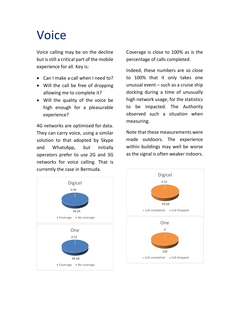# Voice

Voice calling may be on the decline but is still a critical part of the mobile experience for all. Key is:

- Can I make a call when I need to?
- Will the call be free of dropping allowing me to complete it?
- Will the quality of the voice be high enough for a pleasurable experience?

4G networks are optimised for data. They can carry voice, using a similar solution to that adopted by Skype and WhatsApp, but initially operators prefer to use 2G and 3G networks for voice calling. That is currently the case in Bermuda.

Coverage is close to 100% as is the percentage of calls completed.

Indeed, these numbers are so close to 100% that it only takes one unusual event – such as a cruise ship docking during a time of unusually high network usage, for the statistics to be impacted. The Authority observed such a situation when measuring.

Note that these measurements were made outdoors. The experience within buildings may well be worse as the signal is often weaker indoors.



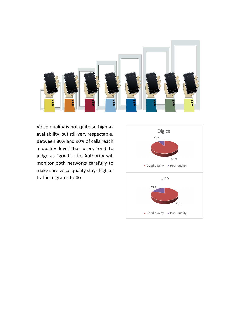

Voice quality is not quite so high as availability, but still very respectable. Between 80% and 90% of calls reach a quality level that users tend to judge as "good". The Authority will monitor both networks carefully to make sure voice quality stays high as traffic migrates to 4G.

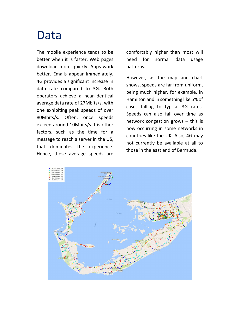#### Data

The mobile experience tends to be better when it is faster. Web pages download more quickly. Apps work better. Emails appear immediately. 4G provides a significant increase in data rate compared to 3G. Both operators achieve a near-identical average data rate of 27Mbits/s, with one exhibiting peak speeds of over 80Mbits/s. Often, once speeds exceed around 10Mbits/s it is other factors, such as the time for a message to reach a server in the US, that dominates the experience. Hence, these average speeds are

comfortably higher than most will need for normal data usage patterns.

However, as the map and chart shows, speeds are far from uniform, being much higher, for example, in Hamilton and in something like 5% of cases falling to typical 3G rates. Speeds can also fall over time as network congestion grows – this is now occurring in some networks in countries like the UK. Also, 4G may not currently be available at all to those in the east end of Bermuda.

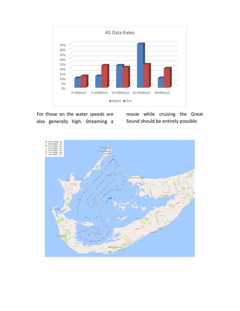

For those on the water speeds are also generally high. Streaming a

movie while cruising the Great Sound should be entirely possible.

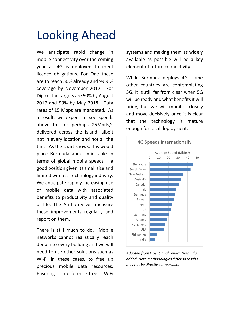### Looking Ahead

We anticipate rapid change in mobile connectivity over the coming year as 4G is deployed to meet licence obligations. For One these are to reach 50% already and 99.9 % coverage by November 2017. For Digicel the targets are 50% by August 2017 and 99% by May 2018. Data rates of 15 Mbps are mandated. As a result, we expect to see speeds above this or perhaps 25Mbits/s delivered across the Island, albeit not in every location and not all the time. As the chart shows, this would place Bermuda about mid-table in terms of global mobile speeds  $-$  a good position given its small size and limited wireless technology industry. We anticipate rapidly increasing use of mobile data with associated benefits to productivity and quality of life. The Authority will measure these improvements regularly and report on them.

There is still much to do. Mobile networks cannot realistically reach deep into every building and we will need to use other solutions such as Wi-Fi in these cases, to free up precious mobile data resources. Ensuring interference-free WiFi

systems and making them as widely available as possible will be a key element of future connectivity.

While Bermuda deploys 4G, some other countries are contemplating 5G. It is still far from clear when 5G will be ready and what benefits it will bring, but we will monitor closely and move decisively once it is clear that the technology is mature enough for local deployment.



Adapted from OpenSignal report. Bermuda added. Note methodologies differ so results may not be directly comparable.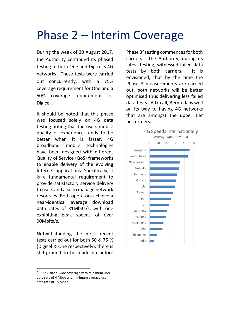#### Phase 2 – Interim Coverage

During the week of 20 August 2017, the Authority continued its phased testing of both One and Digicel's 4G networks. These tests were carried out concurrently, with a 75% coverage requirement for One and a 50% coverage requirement for Digicel.

It should be noted that this phase was focused solely on 4G data testing noting that the users mobile quality of experience tends to be better when it is faster. 4G broadband mobile technologies have been designed with different Quality of Service (QoS) frameworks to enable delivery of the evolving Internet applications. Specifically, it is a fundamental requirement to provide satisfactory service delivery to users and also to manage network resources. Both operators achieve a near-identical average download data rates of 31Mbits/s, with one exhibiting peak speeds of over 90Mbits/s.

Notwithstanding the most recent tests carried out for both 50 & 75 % (Digicel & One respectively), there is still ground to be made up before

<sup>2</sup> 99.9% Island-wide coverage with minimum user data rate of 4 Mbps and minimum average user data rate of 15 Mbps.

1

Phase 3<sup>2</sup> testing commences for both carriers. The Authority, during its latest testing, witnessed failed data tests by both carriers. It is envisioned, that by the time the Phase 3 measurements are carried out, both networks will be better optimised thus delivering less failed data tests. All in all, Bermuda is well on its way to having 4G networks that are amongst the upper tier performers. existing commences for both<br>The Authority, during its<br>ing, witnessed failed data<br>both carriers. It is<br>l, that by the time the<br>neasurements are carried<br>networks will be better<br>thus delivering less failed<br>All in all, Bermuda

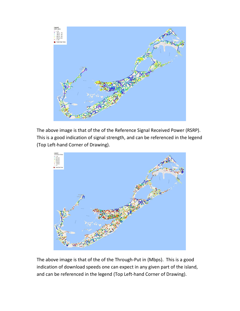

The above image is that of the of the Reference Signal Received Power (RSRP). This is a good indication of signal strength, and can be referenced in the legend (Top Left-hand Corner of Drawing).



The above image is that of the of the Through-Put in (Mbps). This is a good indication of download speeds one can expect in any given part of the island, and can be referenced in the legend (Top Left-hand Corner of Drawing).